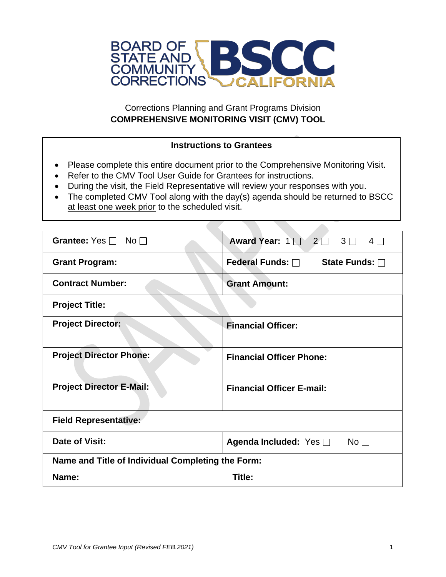

# Corrections Planning and Grant Programs Division **COMPREHENSIVE MONITORING VISIT (CMV) TOOL**

# **Instructions to Grantees**

- Please complete this entire document prior to the Comprehensive Monitoring Visit.
- Refer to the CMV Tool User Guide for Grantees for instructions.
- During the visit, the Field Representative will review your responses with you.
- The completed CMV Tool along with the day(s) agenda should be returned to BSCC at least one week prior to the scheduled visit.

 $\sim$ 

| Grantee: Yes $\Box$ No $\Box$                     | Award Year: $1 \square 2 \square 3 \square$<br>$4\Box$ |  |  |
|---------------------------------------------------|--------------------------------------------------------|--|--|
| <b>Grant Program:</b>                             | Federal Funds: □<br>State Funds: $\square$             |  |  |
| <b>Contract Number:</b>                           | <b>Grant Amount:</b>                                   |  |  |
| <b>Project Title:</b>                             |                                                        |  |  |
| <b>Project Director:</b>                          | <b>Financial Officer:</b>                              |  |  |
| <b>Project Director Phone:</b>                    | <b>Financial Officer Phone:</b>                        |  |  |
| <b>Project Director E-Mail:</b>                   | <b>Financial Officer E-mail:</b>                       |  |  |
| <b>Field Representative:</b>                      |                                                        |  |  |
| Date of Visit:                                    | Agenda Included: Yes □<br>No $\Box$                    |  |  |
| Name and Title of Individual Completing the Form: |                                                        |  |  |
| Name:                                             | Title:                                                 |  |  |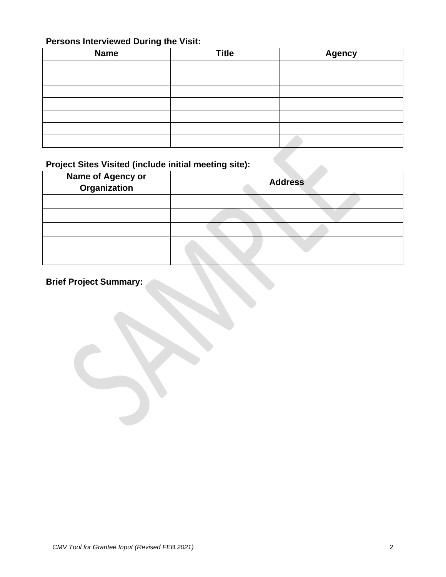# **Persons Interviewed During the Visit:**

| <b>Name</b> | <b>Title</b> | <b>Agency</b> |
|-------------|--------------|---------------|
|             |              |               |
|             |              |               |
|             |              |               |
|             |              |               |
|             |              |               |
|             |              |               |
|             |              |               |

# **Project Sites Visited (include initial meeting site):**

| <b>Name of Agency or<br/>Organization</b> | <b>Address</b> |
|-------------------------------------------|----------------|
|                                           |                |
|                                           |                |
|                                           |                |
|                                           |                |
|                                           |                |

# **Brief Project Summary:**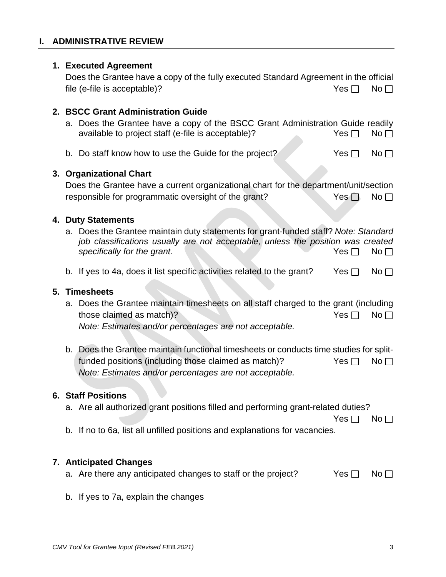## **I. ADMINISTRATIVE REVIEW**

#### **1. Executed Agreement**

Does the Grantee have a copy of the fully executed Standard Agreement in the official file (e-file is acceptable)?  $\blacksquare$  No  $\blacksquare$ 

## **2. BSCC Grant Administration Guide**

- a. Does the Grantee have a copy of the BSCC Grant Administration Guide readily available to project staff (e-file is acceptable)?  $Yes \Box \text{ No } \Box$
- b. Do staff know how to use the Guide for the project?  $Y \subset Y$ es  $\Box$  No $\Box$

## **3. Organizational Chart**

| Does the Grantee have a current organizational chart for the department/unit/section |            |           |
|--------------------------------------------------------------------------------------|------------|-----------|
| responsible for programmatic oversight of the grant?                                 | $Yes \Box$ | $No \Box$ |

#### **4. Duty Statements**

- a. Does the Grantee maintain duty statements for grant-funded staff? *Note: Standard job classifications usually are not acceptable, unless the position was created*  **specifically for the grant.** Specifically for the grant.
- b. If yes to 4a, does it list specific activities related to the grant? Yes  $\Box$  No  $\Box$

#### **5. Timesheets**

- a. Does the Grantee maintain timesheets on all staff charged to the grant (including those claimed as match)?  $Yes \Box \qquad No \Box$ *Note: Estimates and/or percentages are not acceptable.*
- b. Does the Grantee maintain functional timesheets or conducts time studies for splitfunded positions (including those claimed as match)?  $Yes \Box \text{ No } \Box$ *Note: Estimates and/or percentages are not acceptable.*

#### **6. Staff Positions**

a. Are all authorized grant positions filled and performing grant-related duties?

 $Yes \Box$  No  $\Box$ 

b. If no to 6a, list all unfilled positions and explanations for vacancies.

## **7. Anticipated Changes**

- a. Are there any anticipated changes to staff or the project?  $Yes \Box \text{ No } \Box$
- b. If yes to 7a, explain the changes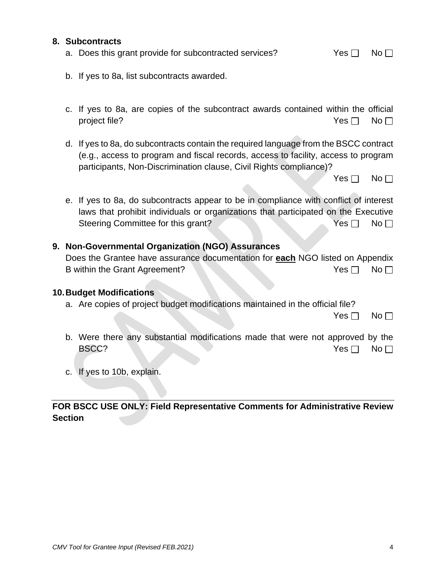|  | <b>Contract Contract</b> |  |  |  |
|--|--------------------------|--|--|--|
|  |                          |  |  |  |
|  |                          |  |  |  |
|  |                          |  |  |  |

**FOR BSCC USE ONLY: Field Representative Comments for Administrative Review Section** 

| 9. Non-Governmental Organization (NGO) Assurances |  |  |
|---------------------------------------------------|--|--|
|                                                   |  |  |

| Does the Grantee have assurance documentation for each NGO listed on Appendix |  |  |       |                 |
|-------------------------------------------------------------------------------|--|--|-------|-----------------|
| B within the Grant Agreement?                                                 |  |  | Yes ⊟ | No <sub>1</sub> |

#### **10.Budget Modifications**

c. If yes to 10b, explain.

a. Are copies of project budget modifications maintained in the official file?

 $Yes \Box No \Box$ 

 $Yes \Box No \Box$ 

- b. Were there any substantial modifications made that were not approved by the BSCC? No. No. 2009 No. 2009 No. 2009 No. 2009 No. 2009 No. 2009 No. 2009 No. 2009 No. 2009 No. 2009 No. 2009 No
- Does the Grantee have assurance documentation for **each** NGO listed on Appendix B within the Grant Agreement? No Western Control of the Vestern Control of the Vestern Control of the Vestern Control of the Vestern Control of the Vestern Control of the Vestern Control of the Vestern Control of the Veste
- **8. Subcontracts** a. Does this grant provide for subcontracted services?  $Yes \Box \text{ No } \Box$ 
	- - c. If yes to 8a, are copies of the subcontract awards contained within the official project file?  $\Box$  No  $\Box$
		- d. If yes to 8a, do subcontracts contain the required language from the BSCC contract (e.g., access to program and fiscal records, access to facility, access to program participants, Non-Discrimination clause, Civil Rights compliance)?

e. If yes to 8a, do subcontracts appear to be in compliance with conflict of interest laws that prohibit individuals or organizations that participated on the Executive Steering Committee for this grant? Yes No

b. If yes to 8a, list subcontracts awarded.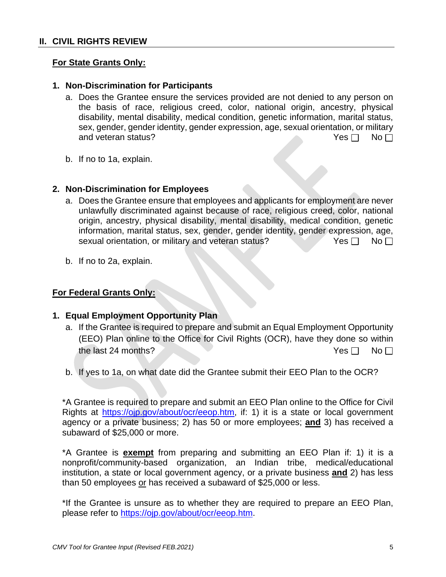#### **II. CIVIL RIGHTS REVIEW**

#### **For State Grants Only:**

#### **1. Non-Discrimination for Participants**

- a. Does the Grantee ensure the services provided are not denied to any person on the basis of race, religious creed, color, national origin, ancestry, physical disability, mental disability, medical condition, genetic information, marital status, sex, gender, gender identity, gender expression, age, sexual orientation, or military and veteran status?  $Yes \Box \Box \Box$
- b. If no to 1a, explain.

#### **2. Non-Discrimination for Employees**

- a. Does the Grantee ensure that employees and applicants for employment are never unlawfully discriminated against because of race, religious creed, color, national origin, ancestry, physical disability, mental disability, medical condition, genetic information, marital status, sex, gender, gender identity, gender expression, age, sexual orientation, or military and veteran status? Yes  $\Box$  No  $\Box$
- b. If no to 2a, explain.

## **For Federal Grants Only:**

## **1. Equal Employment Opportunity Plan**

- a. If the Grantee is required to prepare and submit an Equal Employment Opportunity (EEO) Plan online to the Office for Civil Rights (OCR), have they done so within the last 24 months?  $Yes \Box \Box$  No  $\Box$
- b. If yes to 1a, on what date did the Grantee submit their EEO Plan to the OCR?

\*A Grantee is required to prepare and submit an EEO Plan online to the Office for Civil Rights at [https://ojp.gov/about/ocr/eeop.htm,](https://ojp.gov/about/ocr/eeop.htm) if: 1) it is a state or local government agency or a private business; 2) has 50 or more employees; **and** 3) has received a subaward of \$25,000 or more.

\*A Grantee is **exempt** from preparing and submitting an EEO Plan if: 1) it is a nonprofit/community-based organization, an Indian tribe, medical/educational institution, a state or local government agency, or a private business **and** 2) has less than 50 employees or has received a subaward of \$25,000 or less.

\*If the Grantee is unsure as to whether they are required to prepare an EEO Plan, please refer to [https://ojp.gov/about/ocr/eeop.htm.](https://ojp.gov/about/ocr/eeop.htm)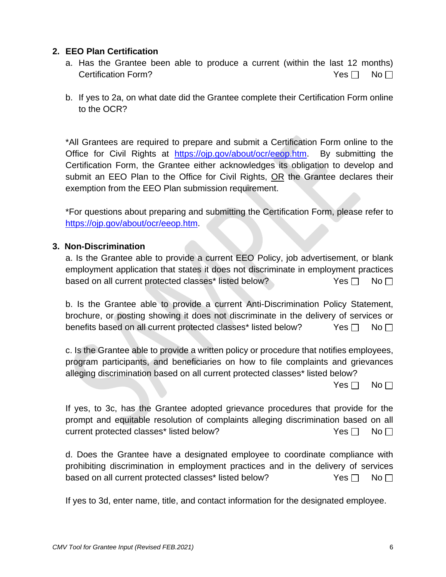## **2. EEO Plan Certification**

- a. Has the Grantee been able to produce a current (within the last 12 months) Certification Form?  $Y$ es  $\Box$  No  $\Box$
- b. If yes to 2a, on what date did the Grantee complete their Certification Form online to the OCR?

\*All Grantees are required to prepare and submit a Certification Form online to the Office for Civil Rights at [https://ojp.gov/about/ocr/eeop.htm.](https://ojp.gov/about/ocr/eeop.htm) By submitting the Certification Form, the Grantee either acknowledges its obligation to develop and submit an EEO Plan to the Office for Civil Rights, OR the Grantee declares their exemption from the EEO Plan submission requirement.

\*For questions about preparing and submitting the Certification Form, please refer to [https://ojp.gov/about/ocr/eeop.htm.](https://ojp.gov/about/ocr/eeop.htm)

## **3. Non-Discrimination**

a. Is the Grantee able to provide a current EEO Policy, job advertisement, or blank employment application that states it does not discriminate in employment practices based on all current protected classes\* listed below?  $\blacksquare$  Yes  $\square$  No  $\square$ 

b. Is the Grantee able to provide a current Anti-Discrimination Policy Statement, brochure, or posting showing it does not discriminate in the delivery of services or benefits based on all current protected classes\* listed below? Yes  $\Box$  No  $\Box$ 

c. Is the Grantee able to provide a written policy or procedure that notifies employees, program participants, and beneficiaries on how to file complaints and grievances alleging discrimination based on all current protected classes\* listed below?

 $Yes \Box No \Box$ 

If yes, to 3c, has the Grantee adopted grievance procedures that provide for the prompt and equitable resolution of complaints alleging discrimination based on all current protected classes\* listed below?  $Yes \Box \quad No \Box$ 

d. Does the Grantee have a designated employee to coordinate compliance with prohibiting discrimination in employment practices and in the delivery of services based on all current protected classes\* listed below?  $Yes \Box \quad No \Box$ 

If yes to 3d, enter name, title, and contact information for the designated employee.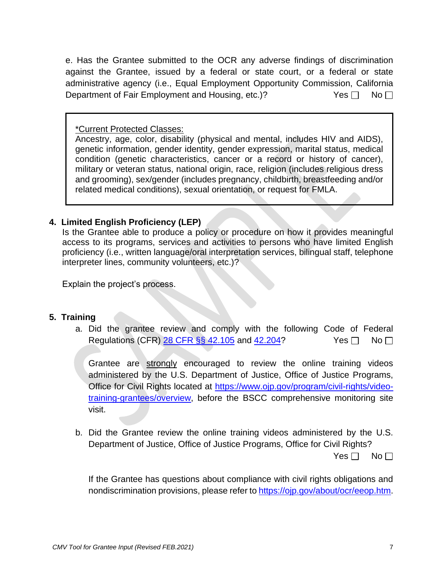e. Has the Grantee submitted to the OCR any adverse findings of discrimination against the Grantee, issued by a federal or state court, or a federal or state administrative agency (i.e., Equal Employment Opportunity Commission, California Department of Fair Employment and Housing, etc.)?  $Yes \Box \text{ No } \Box$ 

\*Current Protected Classes:

Ancestry, age, color, disability (physical and mental, includes HIV and AIDS), genetic information, gender identity, gender expression, marital status, medical condition (genetic characteristics, cancer or a record or history of cancer), military or veteran status, national origin, race, religion (includes religious dress and grooming), sex/gender (includes pregnancy, childbirth, breastfeeding and/or related medical conditions), sexual orientation, or request for FMLA.

# **4. Limited English Proficiency (LEP)**

Is the Grantee able to produce a policy or procedure on how it provides meaningful access to its programs, services and activities to persons who have limited English proficiency (i.e., written language/oral interpretation services, bilingual staff, telephone interpreter lines, community volunteers, etc.)?

Explain the project's process.

## **5. Training**

a. Did the grantee review and comply with the following Code of Federal Regulations (CFR)  $\overline{28}$  CFR  $\S$ § 42.105 and [42.204?](https://gcc02.safelinks.protection.outlook.com/?url=https%3A%2F%2Fwww.law.cornell.edu%2Fcfr%2Ftext%2F28%2F42.204&data=04%7C01%7CRicardo.Goodridge%40bscc.ca.gov%7C723800fbe5354b777b0808d8d2d9b874%7Ca9b1f1d83de14f06a10ca6aaf9052088%7C0%7C0%7C637491179836634167%7CUnknown%7CTWFpbGZsb3d8eyJWIjoiMC4wLjAwMDAiLCJQIjoiV2luMzIiLCJBTiI6Ik1haWwiLCJXVCI6Mn0%3D%7C1000&sdata=cyi5rcBUorCE5%2Bqpg8Me5jOggQwHkXIhvdVOSZlHnkU%3D&reserved=0) Yes  $\Box$  No  $\Box$ 

Grantee are strongly encouraged to review the online training videos administered by the U.S. Department of Justice, Office of Justice Programs, Office for Civil Rights located at [https://www.ojp.gov/program/civil-rights/video](https://www.ojp.gov/program/civil-rights/video-training-grantees/overview)[training-grantees/overview,](https://www.ojp.gov/program/civil-rights/video-training-grantees/overview) before the BSCC comprehensive monitoring site visit.

b. Did the Grantee review the online training videos administered by the U.S. Department of Justice, Office of Justice Programs, Office for Civil Rights?  $Yes \Box No \Box$ 

If the Grantee has questions about compliance with civil rights obligations and nondiscrimination provisions, please refer to [https://ojp.gov/about/ocr/eeop.htm.](https://ojp.gov/about/ocr/eeop.htm)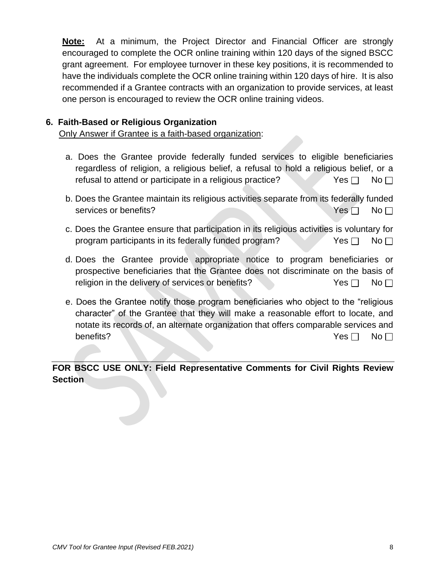**Note:** At a minimum, the Project Director and Financial Officer are strongly encouraged to complete the OCR online training within 120 days of the signed BSCC grant agreement. For employee turnover in these key positions, it is recommended to have the individuals complete the OCR online training within 120 days of hire. It is also recommended if a Grantee contracts with an organization to provide services, at least one person is encouraged to review the OCR online training videos.

## **6. Faith-Based or Religious Organization**

Only Answer if Grantee is a faith-based organization:

- a. Does the Grantee provide federally funded services to eligible beneficiaries regardless of religion, a religious belief, a refusal to hold a religious belief, or a refusal to attend or participate in a religious practice? Yes  $\Box$  No  $\Box$
- b. Does the Grantee maintain its religious activities separate from its federally funded services or benefits? Yes No
- c. Does the Grantee ensure that participation in its religious activities is voluntary for program participants in its federally funded program? Yes  $\Box$  No  $\Box$
- d. Does the Grantee provide appropriate notice to program beneficiaries or prospective beneficiaries that the Grantee does not discriminate on the basis of religion in the delivery of services or benefits?  $Yes \Box$  No  $\Box$
- e. Does the Grantee notify those program beneficiaries who object to the "religious character" of the Grantee that they will make a reasonable effort to locate, and notate its records of, an alternate organization that offers comparable services and benefits? No Note that the set of the set of the set of the set of the set of the set of the set of the set of the set of the set of the set of the set of the set of the set of the set of the set of the set of the set of t

**FOR BSCC USE ONLY: Field Representative Comments for Civil Rights Review Section**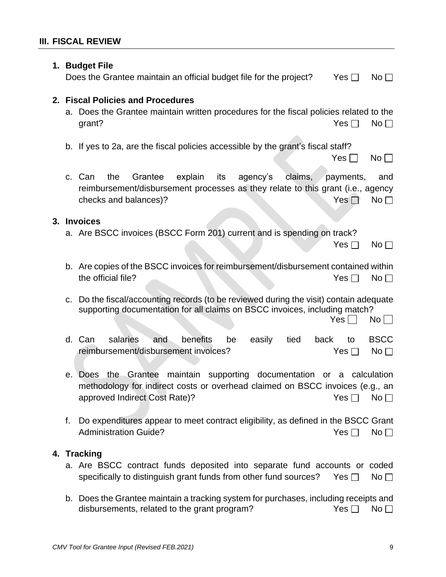|    | 1. Budget File<br>Does the Grantee maintain an official budget file for the project?                                                                                                              | Yes $\Box$              | No <sub>1</sub>                |
|----|---------------------------------------------------------------------------------------------------------------------------------------------------------------------------------------------------|-------------------------|--------------------------------|
|    | 2. Fiscal Policies and Procedures<br>a. Does the Grantee maintain written procedures for the fiscal policies related to the<br>grant?                                                             | Yes $\Box$              | No <sub>1</sub>                |
|    | b. If yes to 2a, are the fiscal policies accessible by the grant's fiscal staff?                                                                                                                  | $Yes \Box$              | $No \Box$                      |
|    | claims,<br>the<br>Grantee<br>explain<br>its<br>agency's<br>c. Can<br>reimbursement/disbursement processes as they relate to this grant (i.e., agency<br>checks and balances)?                     | payments,<br>Yes $\Box$ | and<br>No <sub>1</sub>         |
|    | 3. Invoices<br>a. Are BSCC invoices (BSCC Form 201) current and is spending on track?                                                                                                             | Yes $\Box$              | No <sub>1</sub>                |
|    | b. Are copies of the BSCC invoices for reimbursement/disbursement contained within<br>the official file?                                                                                          | Yes $\Box$              | No <sub>1</sub>                |
| C. | Do the fiscal/accounting records (to be reviewed during the visit) contain adequate<br>supporting documentation for all claims on BSCC invoices, including match?                                 | Yes                     | $No$ $\Box$                    |
|    | d. Can<br>salaries<br>benefits<br>easily<br>tied<br>and<br>be<br>back<br>reimbursement/disbursement invoices?                                                                                     | to<br>Yes $\Box$        | <b>BSCC</b><br>No <sub>1</sub> |
|    | maintain supporting documentation or a calculation<br>Grantee<br>the<br>e. Does<br>methodology for indirect costs or overhead claimed on BSCC invoices (e.g., an<br>approved Indirect Cost Rate)? | Yes [                   | No <sub>1</sub>                |
| f. | Do expenditures appear to meet contract eligibility, as defined in the BSCC Grant<br><b>Administration Guide?</b>                                                                                 | Yes $\Box$              | No <sub>1</sub>                |
|    | 4. Tracking<br>a. Are BSCC contract funds deposited into separate fund accounts or coded<br>specifically to distinguish grant funds from other fund sources?                                      | Yes $\Box$              | No <sub>1</sub>                |
|    | b. Does the Grantee maintain a tracking system for purchases, including receipts and<br>disbursements, related to the grant program?                                                              | Yes $\Box$              | No <sub>1</sub>                |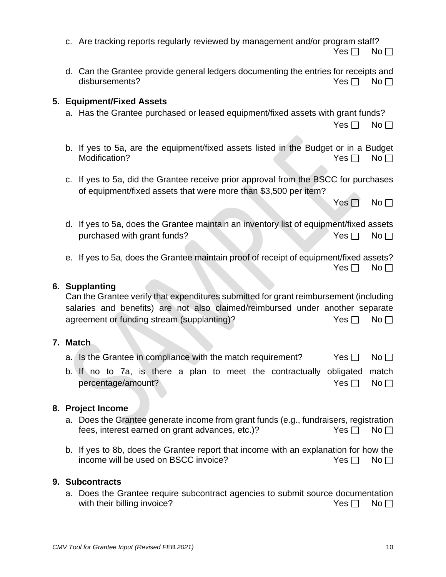*CMV Tool for Grantee Input (Revised FEB.2021)* 10

- a. Has the Grantee purchased or leased equipment/fixed assets with grant funds?  $Yes \Box No \Box$
- b. If yes to 5a, are the equipment/fixed assets listed in the Budget or in a Budget Modification?  $Yes \Box \quad No \Box$
- c. If yes to 5a, did the Grantee receive prior approval from the BSCC for purchases of equipment/fixed assets that were more than \$3,500 per item?

d. If yes to 5a, does the Grantee maintain an inventory list of equipment/fixed assets purchased with grant funds?  $Yes \Box \text{No } \Box$ 

e. If yes to 5a, does the Grantee maintain proof of receipt of equipment/fixed assets?  $Yes \Box No \Box$ 

#### **6. Supplanting**

**5. Equipment/Fixed Assets**

Can the Grantee verify that expenditures submitted for grant reimbursement (including salaries and benefits) are not also claimed/reimbursed under another separate agreement or funding stream (supplanting)?  $Yes \Box \quad No \Box$ 

#### **7. Match**

- a. Is the Grantee in compliance with the match requirement? Yes  $\Box$  No  $\Box$
- b. If no to 7a, is there a plan to meet the contractually obligated match percentage/amount? The North State of the North State of North State of North State of North State of North St

## **8. Project Income**

- a. Does the Grantee generate income from grant funds (e.g., fundraisers, registration fees, interest earned on grant advances, etc.)?  $Yes \Box \text{ No } \Box$
- b. If yes to 8b, does the Grantee report that income with an explanation for how the income will be used on BSCC invoice?  $Yes \Box \quad No \Box$

#### **9. Subcontracts**

a. Does the Grantee require subcontract agencies to submit source documentation with their billing invoice?  $\blacksquare$  Yes  $\blacksquare$  No  $\blacksquare$ 

|  |  |  |  |  | c. Are tracking reports regularly reviewed by management and/or program staff? |
|--|--|--|--|--|--------------------------------------------------------------------------------|
|--|--|--|--|--|--------------------------------------------------------------------------------|

d. Can the Grantee provide general ledgers documenting the entries for receipts and disbursements?  $\blacksquare$ 

 $Yes \Box No \Box$ 

Yes  $\neg$  No  $\neg$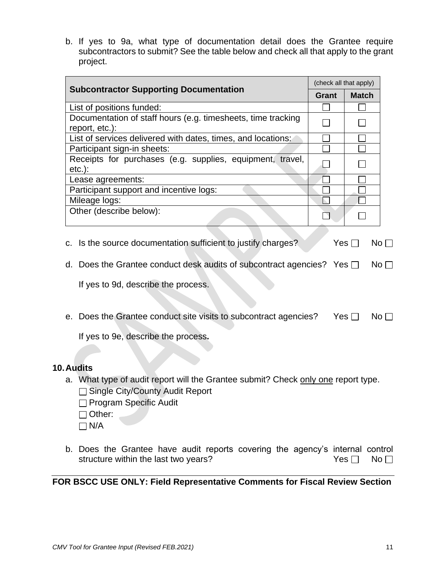b. If yes to 9a, what type of documentation detail does the Grantee require subcontractors to submit? See the table below and check all that apply to the grant project.

|                                                                                |       | (check all that apply) |  |
|--------------------------------------------------------------------------------|-------|------------------------|--|
| <b>Subcontractor Supporting Documentation</b>                                  | Grant | <b>Match</b>           |  |
| List of positions funded:                                                      |       |                        |  |
| Documentation of staff hours (e.g. timesheets, time tracking<br>report, etc.): |       |                        |  |
| List of services delivered with dates, times, and locations:                   |       |                        |  |
| Participant sign-in sheets:                                                    |       |                        |  |
| Receipts for purchases (e.g. supplies, equipment, travel,<br>$etc.$ ):         |       |                        |  |
| Lease agreements:                                                              |       |                        |  |
| Participant support and incentive logs:                                        |       |                        |  |
| Mileage logs:                                                                  |       |                        |  |
| Other (describe below):                                                        |       |                        |  |

- 
- d. Does the Grantee conduct desk audits of subcontract agencies? Yes  $\Box$  No  $\Box$

If yes to 9d, describe the process.

e. Does the Grantee conduct site visits to subcontract agencies? Yes  $\Box$  No  $\Box$ 

If yes to 9e, describe the process**.**

#### **10.Audits**

a. What type of audit report will the Grantee submit? Check only one report type. □ Single City/County Audit Report

 $\Box$  Program Specific Audit

□ Other:

 $\Box$  N/A

b. Does the Grantee have audit reports covering the agency's internal control structure within the last two years?  $Yes \Box \quad No \Box$ 

**FOR BSCC USE ONLY: Field Representative Comments for Fiscal Review Section**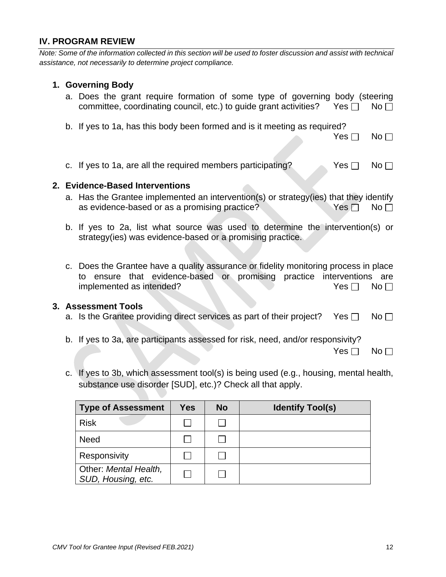# **IV. PROGRAM REVIEW**

*Note: Some of the information collected in this section will be used to foster discussion and assist with technical assistance, not necessarily to determine project compliance.* 

#### **1. Governing Body**

- a. Does the grant require formation of some type of governing body (steering committee, coordinating council, etc.) to quide grant activities? Yes  $\Box$  No  $\Box$
- b. If yes to 1a, has this body been formed and is it meeting as required?

| -- | י |  |
|----|---|--|
|----|---|--|

c. If yes to 1a, are all the required members participating?  $Y$ es  $\Box$  No  $\Box$ 

#### **2. Evidence-Based Interventions**

- a. Has the Grantee implemented an intervention(s) or strategy(ies) that they identify as evidence-based or as a promising practice?  $Yes \Box \quad No \Box$
- b. If yes to 2a, list what source was used to determine the intervention(s) or strategy(ies) was evidence-based or a promising practice.
- c. Does the Grantee have a quality assurance or fidelity monitoring process in place to ensure that evidence-based or promising practice interventions are implemented as intended?  $Yes \Box \quad No \Box$

#### **3. Assessment Tools**

- a. Is the Grantee providing direct services as part of their project? Yes  $\Box$  No  $\Box$
- b. If yes to 3a, are participants assessed for risk, need, and/or responsivity?

 $Yes \Box No \Box$ 

c. If yes to 3b, which assessment tool(s) is being used (e.g., housing, mental health, substance use disorder [SUD], etc.)? Check all that apply.

| <b>Type of Assessment</b>                   | Yes | <b>No</b> | <b>Identify Tool(s)</b> |
|---------------------------------------------|-----|-----------|-------------------------|
| <b>Risk</b>                                 |     |           |                         |
| <b>Need</b>                                 |     |           |                         |
| Responsivity                                |     |           |                         |
| Other: Mental Health,<br>SUD, Housing, etc. |     |           |                         |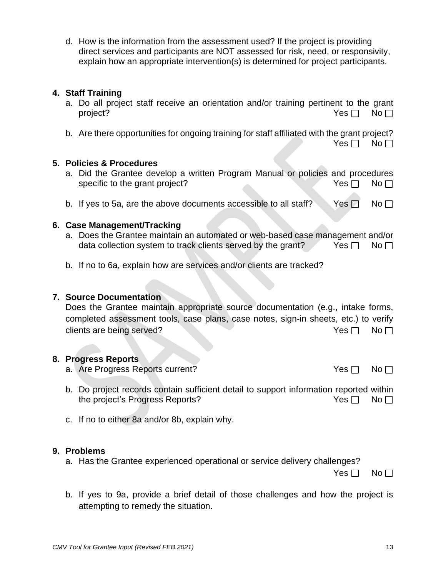d. How is the information from the assessment used? If the project is providing direct services and participants are NOT assessed for risk, need, or responsivity, explain how an appropriate intervention(s) is determined for project participants.

## **4. Staff Training**

- a. Do all project staff receive an orientation and/or training pertinent to the grant project? No result to the contract of the contract of the contract of the contract of the contract of the contract of the contract of the contract of the contract of the contract of the contract of the contract of the cont
- b. Are there opportunities for ongoing training for staff affiliated with the grant project?

 $Yes \Box No \Box$ 

## **5. Policies & Procedures**

- a. Did the Grantee develop a written Program Manual or policies and procedures specific to the grant project?  $Yes \Box \qquad No \Box$
- b. If yes to 5a, are the above documents accessible to all staff? Yes  $\Box$  No  $\Box$

## **6. Case Management/Tracking**

- a. Does the Grantee maintain an automated or web-based case management and/or data collection system to track clients served by the grant? Yes  $\Box$  No  $\Box$
- b. If no to 6a, explain how are services and/or clients are tracked?

## **7. Source Documentation**

Does the Grantee maintain appropriate source documentation (e.g., intake forms, completed assessment tools, case plans, case notes, sign-in sheets, etc.) to verify clients are being served?  $Yes \Box \text{ No } \Box$ 

## **8. Progress Reports**

- a. Are Progress Reports current?  $Yes \Box \text{ No } \Box$
- b. Do project records contain sufficient detail to support information reported within the project's Progress Reports?  $\blacksquare$  Yes  $\blacksquare$  No  $\blacksquare$
- c. If no to either 8a and/or 8b, explain why.

## **9. Problems**

a. Has the Grantee experienced operational or service delivery challenges?

 $Yes \Box No \Box$ 

b. If yes to 9a, provide a brief detail of those challenges and how the project is attempting to remedy the situation.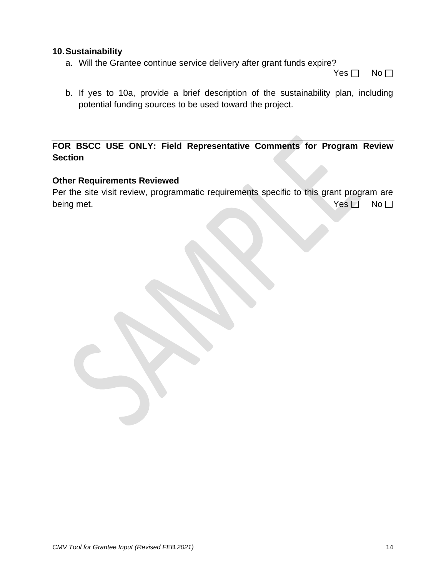## **10.Sustainability**

a. Will the Grantee continue service delivery after grant funds expire?

 $Yes \Box No \Box$ 

b. If yes to 10a, provide a brief description of the sustainability plan, including potential funding sources to be used toward the project.

# **FOR BSCC USE ONLY: Field Representative Comments for Program Review Section**

#### **Other Requirements Reviewed**

Per the site visit review, programmatic requirements specific to this grant program are being met.  $\vee$  No  $\Box$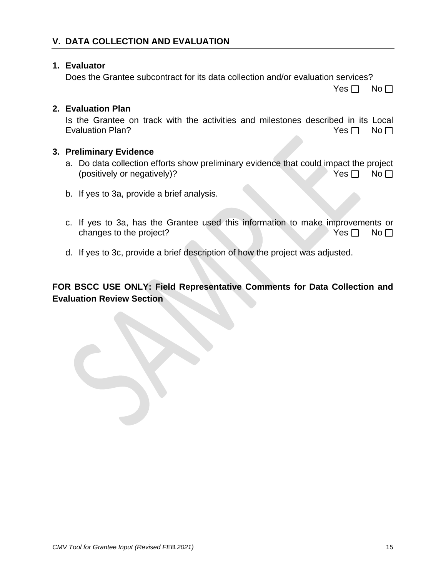## **1. Evaluator**

Does the Grantee subcontract for its data collection and/or evaluation services?

 $Yes \Box No \Box$ 

## **2. Evaluation Plan**

Is the Grantee on track with the activities and milestones described in its Local Evaluation Plan?  $\Box$   $\Box$  No  $\Box$ 

## **3. Preliminary Evidence**

- a. Do data collection efforts show preliminary evidence that could impact the project (positively or negatively)?  $Yes \Box \qquad No \Box$
- b. If yes to 3a, provide a brief analysis.
- c. If yes to 3a, has the Grantee used this information to make improvements or changes to the project?  $Y$ es  $\Box$  No $\Box$
- d. If yes to 3c, provide a brief description of how the project was adjusted.

**FOR BSCC USE ONLY: Field Representative Comments for Data Collection and Evaluation Review Section**